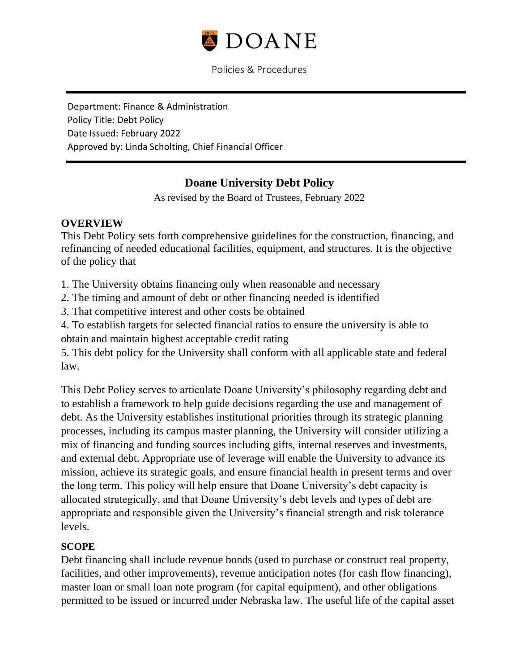

Department: Finance & Administration Policy Title: Debt Policy Date Issued: February 2022 Approved by: Linda Scholting, Chief Financial Officer

# **Doane University Debt Policy**

As revised by the Board of Trustees, February 2022

#### **OVERVIEW**

This Debt Policy sets forth comprehensive guidelines for the construction, financing, and refinancing of needed educational facilities, equipment, and structures. It is the objective of the policy that

1. The University obtains financing only when reasonable and necessary

2. The timing and amount of debt or other financing needed is identified

3. That competitive interest and other costs be obtained

4. To establish targets for selected financial ratios to ensure the university is able to obtain and maintain highest acceptable credit rating

5. This debt policy for the University shall conform with all applicable state and federal law.

This Debt Policy serves to articulate Doane University's philosophy regarding debt and to establish a framework to help guide decisions regarding the use and management of debt. As the University establishes institutional priorities through its strategic planning processes, including its campus master planning, the University will consider utilizing a mix of financing and funding sources including gifts, internal reserves and investments, and external debt. Appropriate use of leverage will enable the University to advance its mission, achieve its strategic goals, and ensure financial health in present terms and over the long term. This policy will help ensure that Doane University's debt capacity is allocated strategically, and that Doane University's debt levels and types of debt are appropriate and responsible given the University's financial strength and risk tolerance levels.

#### **SCOPE**

Debt financing shall include revenue bonds (used to purchase or construct real property, facilities, and other improvements), revenue anticipation notes (for cash flow financing), master loan or small loan note program (for capital equipment), and other obligations permitted to be issued or incurred under Nebraska law. The useful life of the capital asset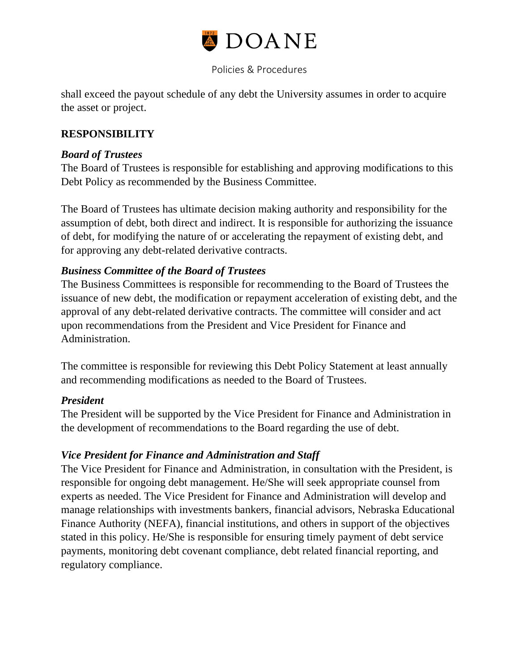

shall exceed the payout schedule of any debt the University assumes in order to acquire the asset or project.

## **RESPONSIBILITY**

#### *Board of Trustees*

The Board of Trustees is responsible for establishing and approving modifications to this Debt Policy as recommended by the Business Committee.

The Board of Trustees has ultimate decision making authority and responsibility for the assumption of debt, both direct and indirect. It is responsible for authorizing the issuance of debt, for modifying the nature of or accelerating the repayment of existing debt, and for approving any debt-related derivative contracts.

#### *Business Committee of the Board of Trustees*

The Business Committees is responsible for recommending to the Board of Trustees the issuance of new debt, the modification or repayment acceleration of existing debt, and the approval of any debt-related derivative contracts. The committee will consider and act upon recommendations from the President and Vice President for Finance and Administration.

The committee is responsible for reviewing this Debt Policy Statement at least annually and recommending modifications as needed to the Board of Trustees.

## *President*

The President will be supported by the Vice President for Finance and Administration in the development of recommendations to the Board regarding the use of debt.

#### *Vice President for Finance and Administration and Staff*

The Vice President for Finance and Administration, in consultation with the President, is responsible for ongoing debt management. He/She will seek appropriate counsel from experts as needed. The Vice President for Finance and Administration will develop and manage relationships with investments bankers, financial advisors, Nebraska Educational Finance Authority (NEFA), financial institutions, and others in support of the objectives stated in this policy. He/She is responsible for ensuring timely payment of debt service payments, monitoring debt covenant compliance, debt related financial reporting, and regulatory compliance.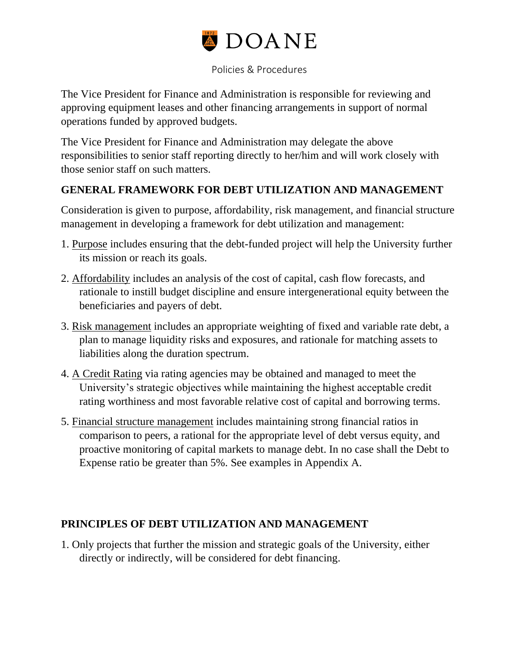

The Vice President for Finance and Administration is responsible for reviewing and approving equipment leases and other financing arrangements in support of normal operations funded by approved budgets.

The Vice President for Finance and Administration may delegate the above responsibilities to senior staff reporting directly to her/him and will work closely with those senior staff on such matters.

## **GENERAL FRAMEWORK FOR DEBT UTILIZATION AND MANAGEMENT**

Consideration is given to purpose, affordability, risk management, and financial structure management in developing a framework for debt utilization and management:

- 1. Purpose includes ensuring that the debt-funded project will help the University further its mission or reach its goals.
- 2. Affordability includes an analysis of the cost of capital, cash flow forecasts, and rationale to instill budget discipline and ensure intergenerational equity between the beneficiaries and payers of debt.
- 3. Risk management includes an appropriate weighting of fixed and variable rate debt, a plan to manage liquidity risks and exposures, and rationale for matching assets to liabilities along the duration spectrum.
- 4. A Credit Rating via rating agencies may be obtained and managed to meet the University's strategic objectives while maintaining the highest acceptable credit rating worthiness and most favorable relative cost of capital and borrowing terms.
- 5. Financial structure management includes maintaining strong financial ratios in comparison to peers, a rational for the appropriate level of debt versus equity, and proactive monitoring of capital markets to manage debt. In no case shall the Debt to Expense ratio be greater than 5%. See examples in Appendix A.

## **PRINCIPLES OF DEBT UTILIZATION AND MANAGEMENT**

1. Only projects that further the mission and strategic goals of the University, either directly or indirectly, will be considered for debt financing.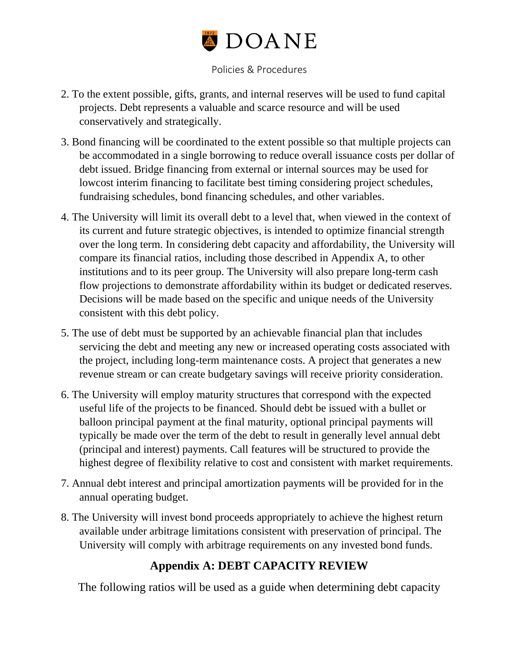

- 2. To the extent possible, gifts, grants, and internal reserves will be used to fund capital projects. Debt represents a valuable and scarce resource and will be used conservatively and strategically.
- 3. Bond financing will be coordinated to the extent possible so that multiple projects can be accommodated in a single borrowing to reduce overall issuance costs per dollar of debt issued. Bridge financing from external or internal sources may be used for lowcost interim financing to facilitate best timing considering project schedules, fundraising schedules, bond financing schedules, and other variables.
- 4. The University will limit its overall debt to a level that, when viewed in the context of its current and future strategic objectives, is intended to optimize financial strength over the long term. In considering debt capacity and affordability, the University will compare its financial ratios, including those described in Appendix A, to other institutions and to its peer group. The University will also prepare long-term cash flow projections to demonstrate affordability within its budget or dedicated reserves. Decisions will be made based on the specific and unique needs of the University consistent with this debt policy.
- 5. The use of debt must be supported by an achievable financial plan that includes servicing the debt and meeting any new or increased operating costs associated with the project, including long-term maintenance costs. A project that generates a new revenue stream or can create budgetary savings will receive priority consideration.
- 6. The University will employ maturity structures that correspond with the expected useful life of the projects to be financed. Should debt be issued with a bullet or balloon principal payment at the final maturity, optional principal payments will typically be made over the term of the debt to result in generally level annual debt (principal and interest) payments. Call features will be structured to provide the highest degree of flexibility relative to cost and consistent with market requirements.
- 7. Annual debt interest and principal amortization payments will be provided for in the annual operating budget.
- 8. The University will invest bond proceeds appropriately to achieve the highest return available under arbitrage limitations consistent with preservation of principal. The University will comply with arbitrage requirements on any invested bond funds.

# **Appendix A: DEBT CAPACITY REVIEW**

The following ratios will be used as a guide when determining debt capacity